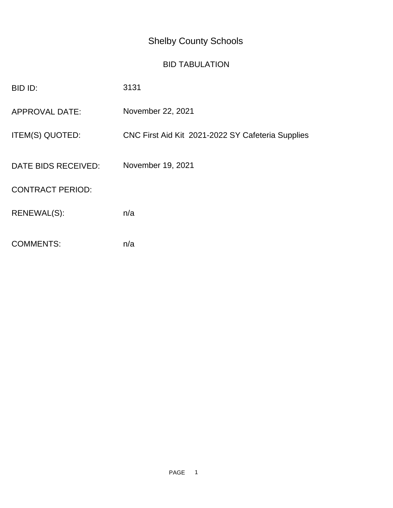## Shelby County Schools

## BID TABULATION

| BID ID:                 | 3131                                              |
|-------------------------|---------------------------------------------------|
| <b>APPROVAL DATE:</b>   | November 22, 2021                                 |
| ITEM(S) QUOTED:         | CNC First Aid Kit 2021-2022 SY Cafeteria Supplies |
| DATE BIDS RECEIVED:     | November 19, 2021                                 |
| <b>CONTRACT PERIOD:</b> |                                                   |
| RENEWAL(S):             | n/a                                               |
| <b>COMMENTS:</b>        | n/a                                               |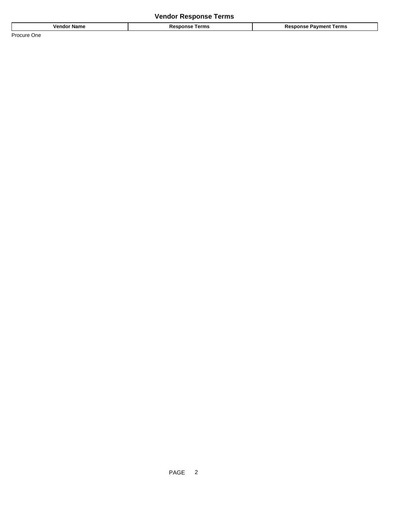## **Vendor Response Terms**

| <b>Name</b><br>vendo. | .<br>l erms<br>169<br>. | Геrms<br>ำvmenւ<br>. |
|-----------------------|-------------------------|----------------------|
| Procure<br>One        |                         |                      |

PAGE 2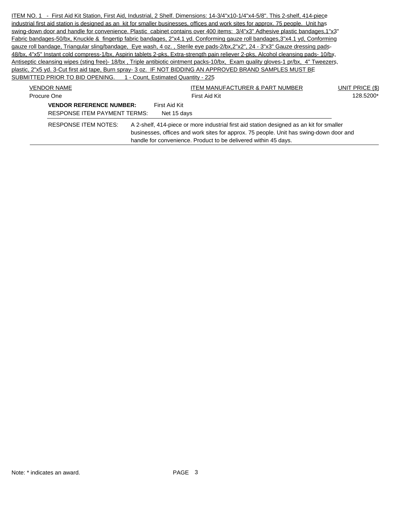ITEM NO. 1 - First Aid Kit Station, First Aid, Industrial, 2 Shelf. Dimensions: 14-3/4"x10-1/4"x4-5/8". This 2-shelf, 414-piece industrial first aid station is designed as an kit for smaller businesses, offices and work sites for approx. 75 people. Unit has swing-down door and handle for convenience. Plastic cabinet contains over 400 items: 3/4"x3" Adhesive plastic bandages,1"x3" Fabric bandages-50/bx, Knuckle & fingertip fabric bandages, 2"x4.1 yd. Conforming gauze roll bandages,3"x4.1 yd, Conforming gauze roll bandage, Triangular sling/bandage, Eye wash, 4 oz., Sterile eye pads-2/bx,2"x2", 24 - 3"x3" Gauze dressing pads-48/bx, 4"x5" Instant cold compress-1/bx, Aspirin tablets 2-pks, Extra-strength pain reliever 2-pks, Alcohol cleansing pads- 10/bx, Antiseptic cleansing wipes (sting free)- 18/bx , Triple antibiotic ointment packs-10/bx, Exam quality gloves-1 pr/bx, 4" Tweezers, plastic, 2"x5 yd. 3-Cut first aid tape, Burn spray- 3 oz. IF NOT BIDDING AN APPROVED BRAND SAMPLES MUST BE SUBMITTED PRIOR TO BID OPENING. 1 - Count, Estimated Quantity - 225 VENDOR NAME UNIT PRICE (\$) VENDOR NAME ITEM MANUFACTURER & PART NUMBER Procure One **First Aid Kit** 128.5200\* First Aid Kit **128.5200\*** 

| Procure One<br>First Aid Kit        |  | 128.5200*     |                                                                                                                                                                                                                                                       |  |
|-------------------------------------|--|---------------|-------------------------------------------------------------------------------------------------------------------------------------------------------------------------------------------------------------------------------------------------------|--|
| <b>VENDOR REFERENCE NUMBER:</b>     |  | First Aid Kit |                                                                                                                                                                                                                                                       |  |
| <b>RESPONSE ITEM PAYMENT TERMS:</b> |  | Net 15 days   |                                                                                                                                                                                                                                                       |  |
| RESPONSE ITEM NOTES:                |  |               | A 2-shelf, 414-piece or more industrial first aid station designed as an kit for smaller<br>businesses, offices and work sites for approx. 75 people. Unit has swing-down door and<br>handle for convenience. Product to be delivered within 45 days. |  |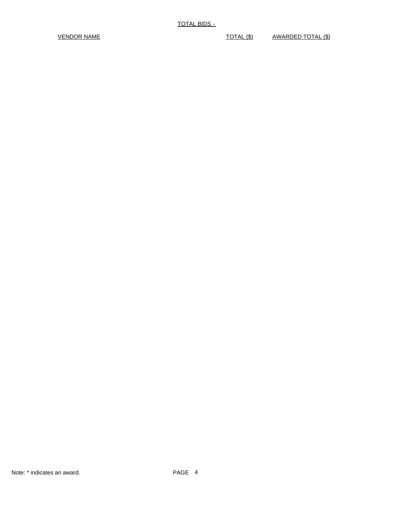VENDOR NAME VENDOR NAME